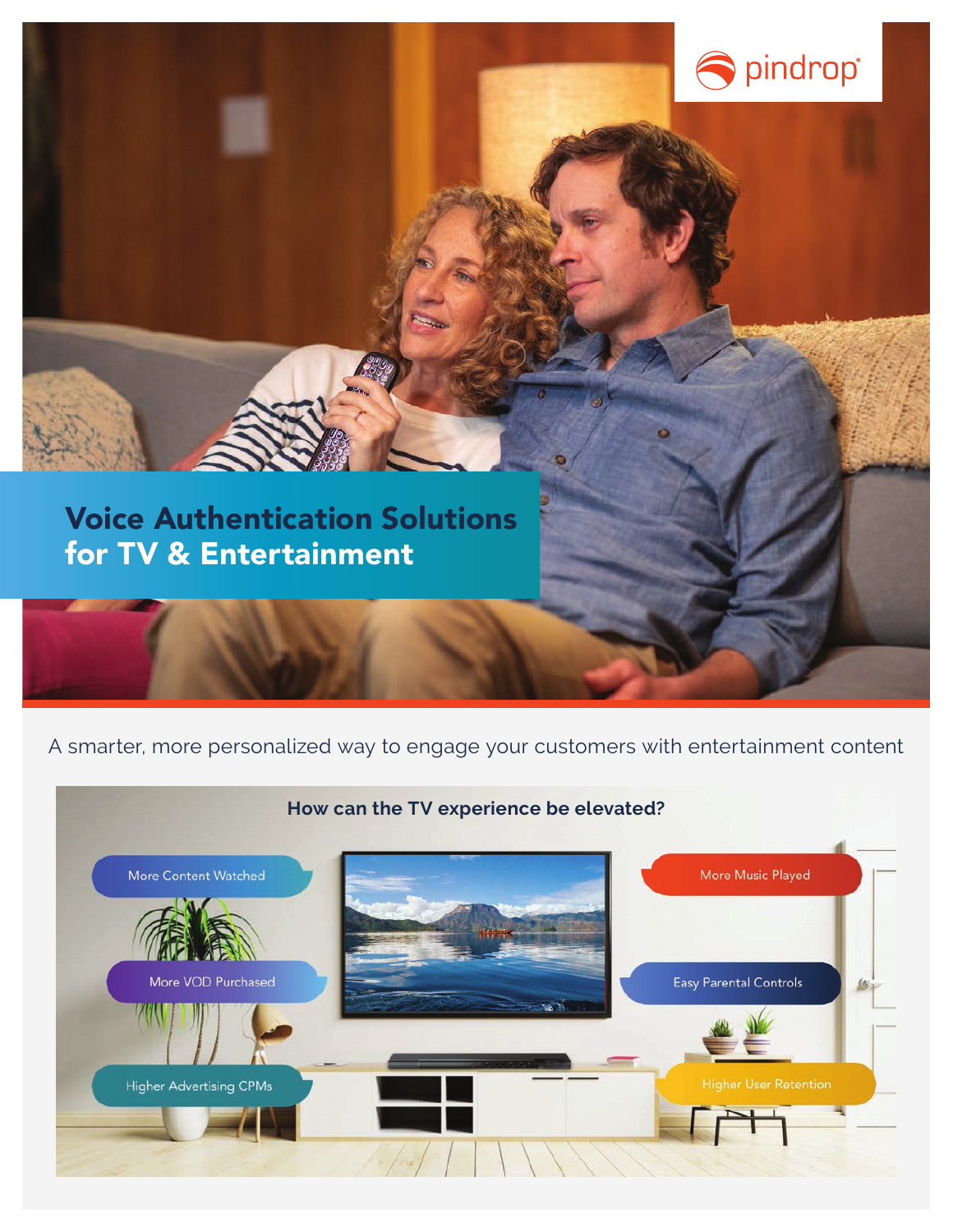

## Voice Authentication Solutions for TV & Entertainment

## A smarter, more personalized way to engage your customers with entertainment content

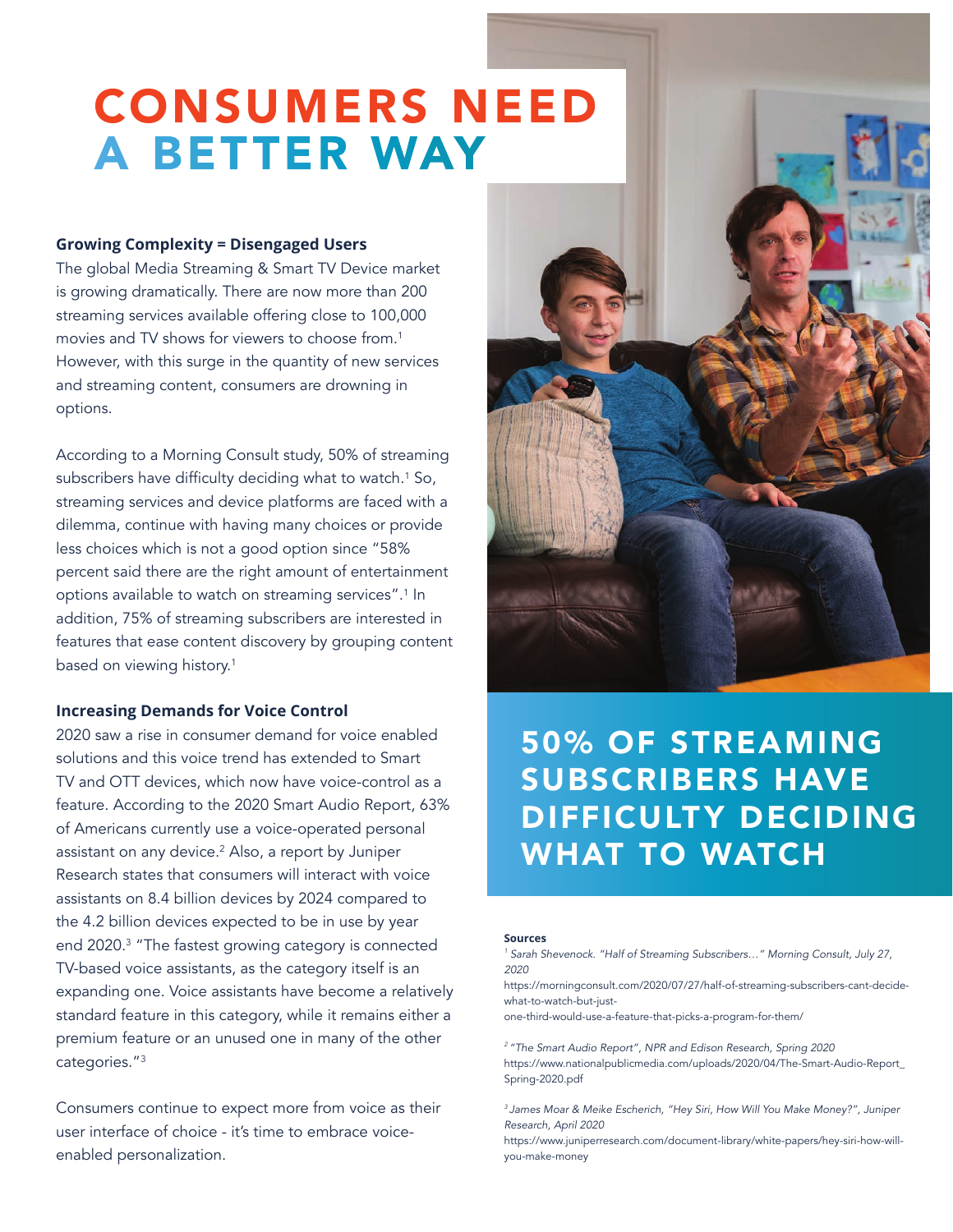# CONSUMERS NEED A BETTER WAY

#### **Growing Complexity = Disengaged Users**

The global Media Streaming & Smart TV Device market is growing dramatically. There are now more than 200 streaming services available offering close to 100,000 movies and TV shows for viewers to choose from.1 However, with this surge in the quantity of new services and streaming content, consumers are drowning in options.

According to a Morning Consult study, 50% of streaming subscribers have difficulty deciding what to watch.<sup>1</sup> So, streaming services and device platforms are faced with a dilemma, continue with having many choices or provide less choices which is not a good option since "58% percent said there are the right amount of entertainment options available to watch on streaming services".<sup>1</sup> In addition, 75% of streaming subscribers are interested in features that ease content discovery by grouping content based on viewing history.<sup>1</sup>

#### **Increasing Demands for Voice Control**

2020 saw a rise in consumer demand for voice enabled solutions and this voice trend has extended to Smart TV and OTT devices, which now have voice-control as a feature. According to the 2020 Smart Audio Report, 63% of Americans currently use a voice-operated personal assistant on any device.<sup>2</sup> Also, a report by Juniper Research states that consumers will interact with voice assistants on 8.4 billion devices by 2024 compared to the 4.2 billion devices expected to be in use by year end 2020.3 "The fastest growing category is connected TV-based voice assistants, as the category itself is an expanding one. Voice assistants have become a relatively standard feature in this category, while it remains either a premium feature or an unused one in many of the other categories."3

Consumers continue to expect more from voice as their user interface of choice - it's time to embrace voiceenabled personalization.



## 50% OF STREAMING SUBSCRIBERS HAVE DIFFICULTY DECIDING WHAT TO WATCH

#### **Sources**

*<sup>1</sup> Sarah Shevenock. "Half of Streaming Subscribers…" Morning Consult, July 27, 2020*

https://morningconsult.com/2020/07/27/half-of-streaming-subscribers-cant-decidewhat-to-watch-but-just-

one-third-would-use-a-feature-that-picks-a-program-for-them/

*2 "The Smart Audio Report", NPR and Edison Research, Spring 2020* https://www.nationalpublicmedia.com/uploads/2020/04/The-Smart-Audio-Report\_ Spring-2020.pdf

*3 James Moar & Meike Escherich, "Hey Siri, How Will You Make Money?", Juniper Research, April 2020*

https://www.juniperresearch.com/document-library/white-papers/hey-siri-how-willyou-make-money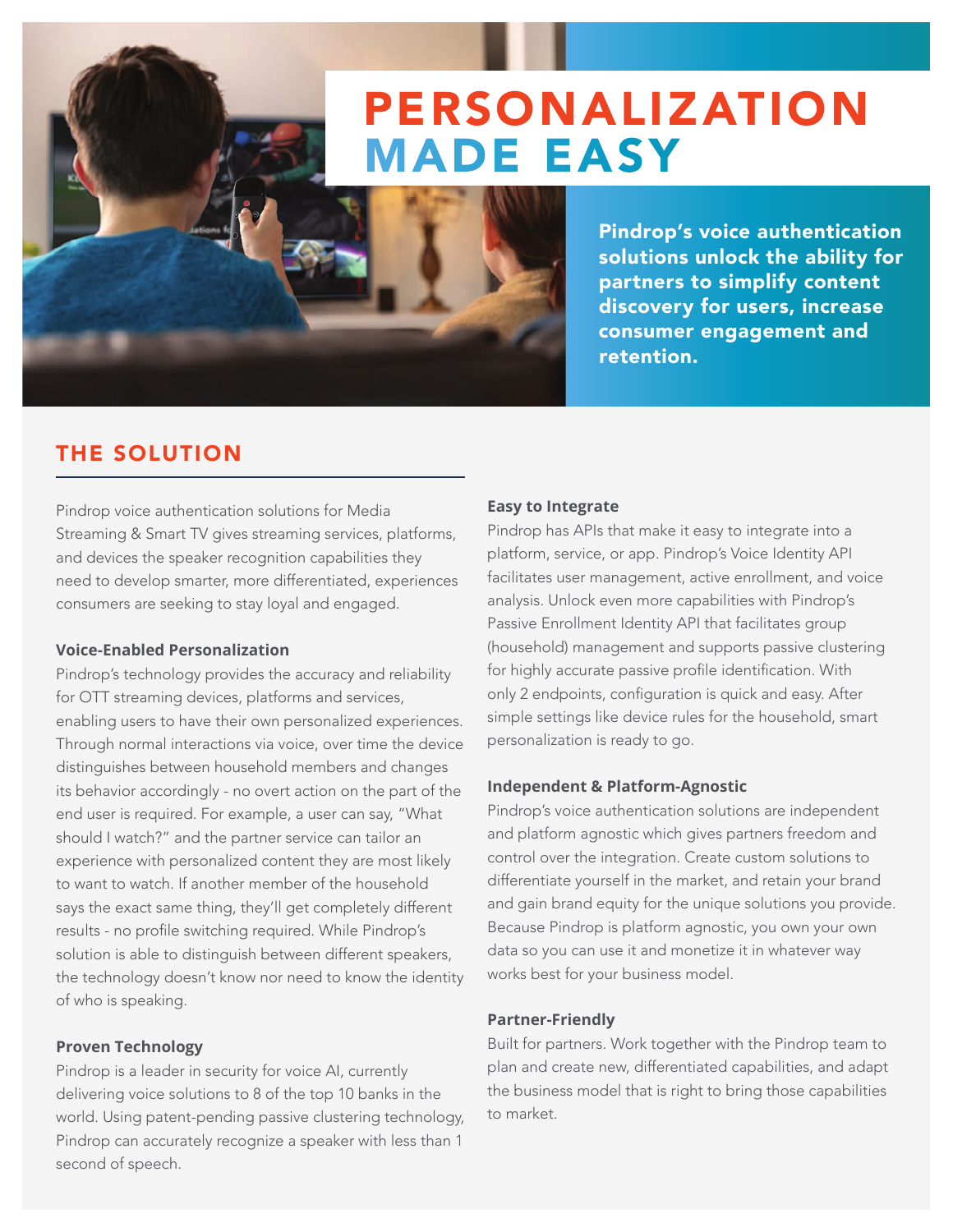## PERSONALIZATION MADE EASY

Pindrop's voice authentication solutions unlock the ability for partners to simplify content discovery for users, increase consumer engagement and retention.

## THE SOLUTION

Pindrop voice authentication solutions for Media Streaming & Smart TV gives streaming services, platforms, and devices the speaker recognition capabilities they need to develop smarter, more differentiated, experiences consumers are seeking to stay loyal and engaged.

#### **Voice-Enabled Personalization**

Pindrop's technology provides the accuracy and reliability for OTT streaming devices, platforms and services, enabling users to have their own personalized experiences. Through normal interactions via voice, over time the device distinguishes between household members and changes its behavior accordingly - no overt action on the part of the end user is required. For example, a user can say, "What should I watch?" and the partner service can tailor an experience with personalized content they are most likely to want to watch. If another member of the household says the exact same thing, they'll get completely different results - no profile switching required. While Pindrop's solution is able to distinguish between different speakers, the technology doesn't know nor need to know the identity of who is speaking.

#### **Proven Technology**

Pindrop is a leader in security for voice AI, currently delivering voice solutions to 8 of the top 10 banks in the world. Using patent-pending passive clustering technology, Pindrop can accurately recognize a speaker with less than 1 second of speech.

#### **Easy to Integrate**

Pindrop has APIs that make it easy to integrate into a platform, service, or app. Pindrop's Voice Identity API facilitates user management, active enrollment, and voice analysis. Unlock even more capabilities with Pindrop's Passive Enrollment Identity API that facilitates group (household) management and supports passive clustering for highly accurate passive profile identification. With only 2 endpoints, configuration is quick and easy. After simple settings like device rules for the household, smart personalization is ready to go.

#### **Independent & Platform-Agnostic**

Pindrop's voice authentication solutions are independent and platform agnostic which gives partners freedom and control over the integration. Create custom solutions to differentiate yourself in the market, and retain your brand and gain brand equity for the unique solutions you provide. Because Pindrop is platform agnostic, you own your own data so you can use it and monetize it in whatever way works best for your business model.

#### **Partner-Friendly**

Built for partners. Work together with the Pindrop team to plan and create new, differentiated capabilities, and adapt the business model that is right to bring those capabilities to market.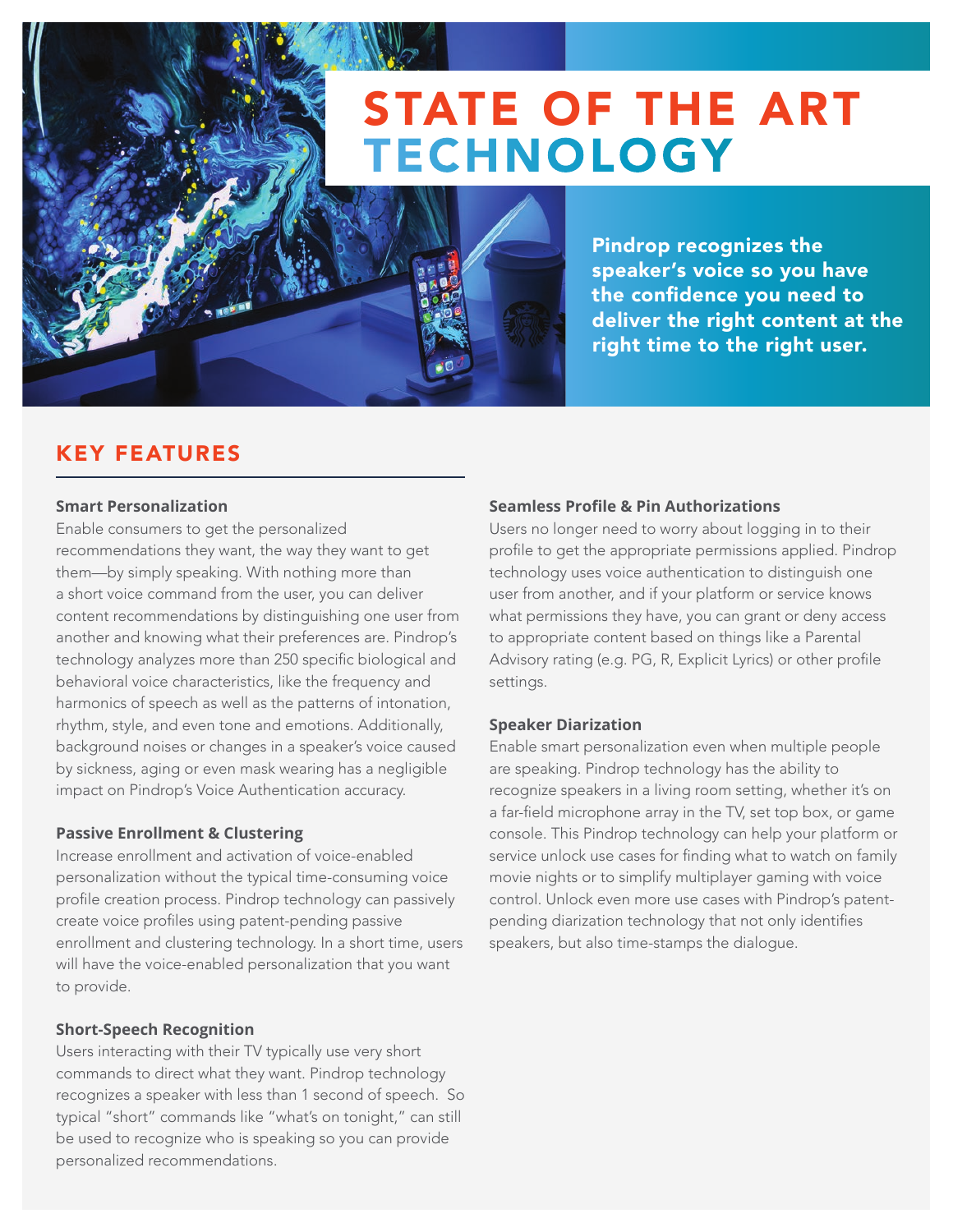# STATE OF THE ART TECHNOLOGY



Pindrop recognizes the speaker's voice so you have the confidence you need to deliver the right content at the right time to the right user.

### KEY FEATURES

#### **Smart Personalization**

Enable consumers to get the personalized recommendations they want, the way they want to get them—by simply speaking. With nothing more than a short voice command from the user, you can deliver content recommendations by distinguishing one user from another and knowing what their preferences are. Pindrop's technology analyzes more than 250 specific biological and behavioral voice characteristics, like the frequency and harmonics of speech as well as the patterns of intonation, rhythm, style, and even tone and emotions. Additionally, background noises or changes in a speaker's voice caused by sickness, aging or even mask wearing has a negligible impact on Pindrop's Voice Authentication accuracy.

#### **Passive Enrollment & Clustering**

Increase enrollment and activation of voice-enabled personalization without the typical time-consuming voice profile creation process. Pindrop technology can passively create voice profiles using patent-pending passive enrollment and clustering technology. In a short time, users will have the voice-enabled personalization that you want to provide.

#### **Short-Speech Recognition**

Users interacting with their TV typically use very short commands to direct what they want. Pindrop technology recognizes a speaker with less than 1 second of speech. So typical "short" commands like "what's on tonight," can still be used to recognize who is speaking so you can provide personalized recommendations.

#### **Seamless Profile & Pin Authorizations**

Users no longer need to worry about logging in to their profile to get the appropriate permissions applied. Pindrop technology uses voice authentication to distinguish one user from another, and if your platform or service knows what permissions they have, you can grant or deny access to appropriate content based on things like a Parental Advisory rating (e.g. PG, R, Explicit Lyrics) or other profile settings.

#### **Speaker Diarization**

Enable smart personalization even when multiple people are speaking. Pindrop technology has the ability to recognize speakers in a living room setting, whether it's on a far-field microphone array in the TV, set top box, or game console. This Pindrop technology can help your platform or service unlock use cases for finding what to watch on family movie nights or to simplify multiplayer gaming with voice control. Unlock even more use cases with Pindrop's patentpending diarization technology that not only identifies speakers, but also time-stamps the dialogue.